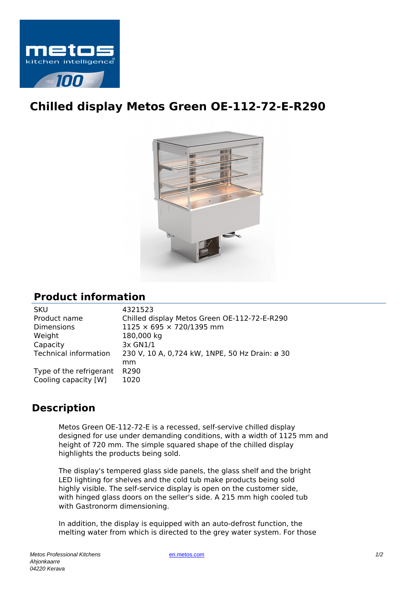

## **Chilled display Metos Green OE-112-72-E-R290**



## **Product information**

| <b>SKU</b>                   | 4321523                                        |
|------------------------------|------------------------------------------------|
| Product name                 | Chilled display Metos Green OE-112-72-E-R290   |
| <b>Dimensions</b>            | 1125 × 695 × 720/1395 mm                       |
| Weight                       | 180,000 kg                                     |
| Capacity                     | 3x GN1/1                                       |
| <b>Technical information</b> | 230 V, 10 A, 0,724 kW, 1NPE, 50 Hz Drain: ø 30 |
|                              | mm                                             |
| Type of the refrigerant      | R <sub>290</sub>                               |
| Cooling capacity [W]         | 1020                                           |
|                              |                                                |

## **Description**

Metos Green OE-112-72-E is a recessed, self-servive chilled display designed for use under demanding conditions, with a width of 1125 mm and height of 720 mm. The simple squared shape of the chilled display highlights the products being sold.

The display's tempered glass side panels, the glass shelf and the bright LED lighting for shelves and the cold tub make products being sold highly visible. The self-service display is open on the customer side, with hinged glass doors on the seller's side. A 215 mm high cooled tub with Gastronorm dimensioning.

In addition, the display is equipped with an auto-defrost function, the melting water from which is directed to the grey water system. For those